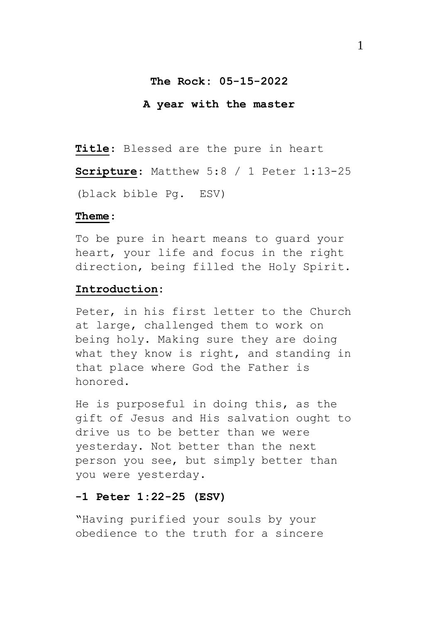#### **The Rock: 05-15-2022**

#### **A year with the master**

**Title**: Blessed are the pure in heart

**Scripture**: Matthew 5:8 / 1 Peter 1:13-25 (black bible Pg. ESV)

#### **Theme**:

To be pure in heart means to guard your heart, your life and focus in the right direction, being filled the Holy Spirit.

# **Introduction:**

Peter, in his first letter to the Church at large, challenged them to work on being holy. Making sure they are doing what they know is right, and standing in that place where God the Father is honored.

He is purposeful in doing this, as the gift of Jesus and His salvation ought to drive us to be better than we were yesterday. Not better than the next person you see, but simply better than you were yesterday.

### **-1 Peter 1:22-25 (ESV)**

"Having purified your souls by your obedience to the truth for a sincere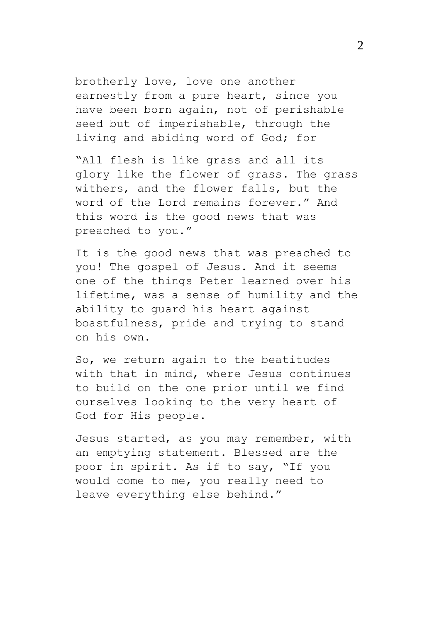brotherly love, love one another earnestly from a pure heart, since you have been born again, not of perishable seed but of imperishable, through the living and abiding word of God; for

"All flesh is like grass and all its glory like the flower of grass. The grass withers, and the flower falls, but the word of the Lord remains forever." And this word is the good news that was preached to you."

It is the good news that was preached to you! The gospel of Jesus. And it seems one of the things Peter learned over his lifetime, was a sense of humility and the ability to guard his heart against boastfulness, pride and trying to stand on his own.

So, we return again to the beatitudes with that in mind, where Jesus continues to build on the one prior until we find ourselves looking to the very heart of God for His people.

Jesus started, as you may remember, with an emptying statement. Blessed are the poor in spirit. As if to say, "If you would come to me, you really need to leave everything else behind."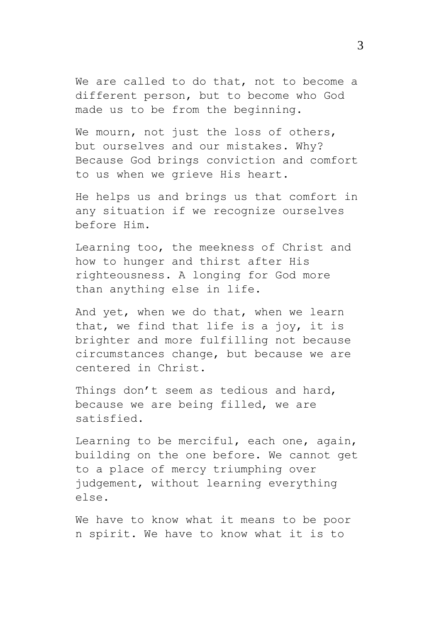We are called to do that, not to become a different person, but to become who God made us to be from the beginning.

We mourn, not just the loss of others, but ourselves and our mistakes. Why? Because God brings conviction and comfort to us when we grieve His heart.

He helps us and brings us that comfort in any situation if we recognize ourselves before Him.

Learning too, the meekness of Christ and how to hunger and thirst after His righteousness. A longing for God more than anything else in life.

And yet, when we do that, when we learn that, we find that life is a joy, it is brighter and more fulfilling not because circumstances change, but because we are centered in Christ.

Things don't seem as tedious and hard, because we are being filled, we are satisfied.

Learning to be merciful, each one, again, building on the one before. We cannot get to a place of mercy triumphing over judgement, without learning everything else.

We have to know what it means to be poor n spirit. We have to know what it is to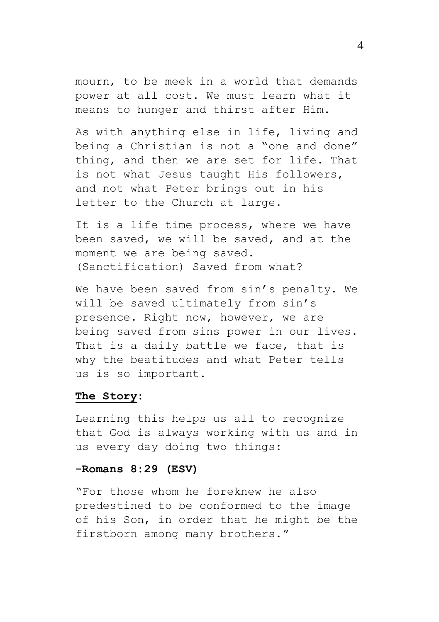mourn, to be meek in a world that demands power at all cost. We must learn what it means to hunger and thirst after Him.

As with anything else in life, living and being a Christian is not a "one and done" thing, and then we are set for life. That is not what Jesus taught His followers, and not what Peter brings out in his letter to the Church at large.

It is a life time process, where we have been saved, we will be saved, and at the moment we are being saved. (Sanctification) Saved from what?

We have been saved from sin's penalty. We will be saved ultimately from sin's presence. Right now, however, we are being saved from sins power in our lives. That is a daily battle we face, that is why the beatitudes and what Peter tells us is so important.

# **The Story:**

Learning this helps us all to recognize that God is always working with us and in us every day doing two things:

#### **-Romans 8:29 (ESV)**

"For those whom he foreknew he also predestined to be conformed to the image of his Son, in order that he might be the firstborn among many brothers."

4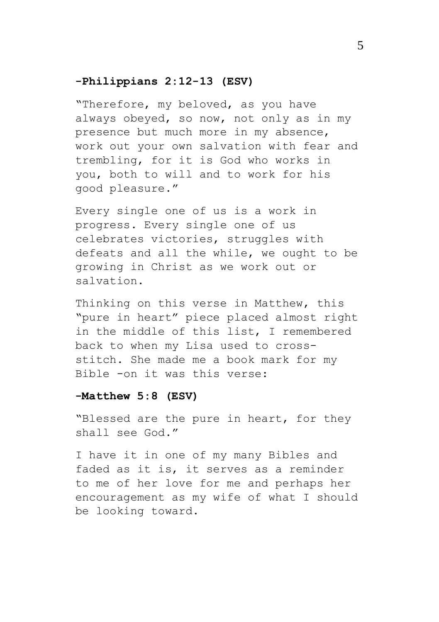## **-Philippians 2:12-13 (ESV)**

"Therefore, my beloved, as you have always obeyed, so now, not only as in my presence but much more in my absence, work out your own salvation with fear and trembling, for it is God who works in you, both to will and to work for his good pleasure."

Every single one of us is a work in progress. Every single one of us celebrates victories, struggles with defeats and all the while, we ought to be growing in Christ as we work out or salvation.

Thinking on this verse in Matthew, this "pure in heart" piece placed almost right in the middle of this list, I remembered back to when my Lisa used to crossstitch. She made me a book mark for my Bible -on it was this verse:

### **-Matthew 5:8 (ESV)**

"Blessed are the pure in heart, for they shall see God."

I have it in one of my many Bibles and faded as it is, it serves as a reminder to me of her love for me and perhaps her encouragement as my wife of what I should be looking toward.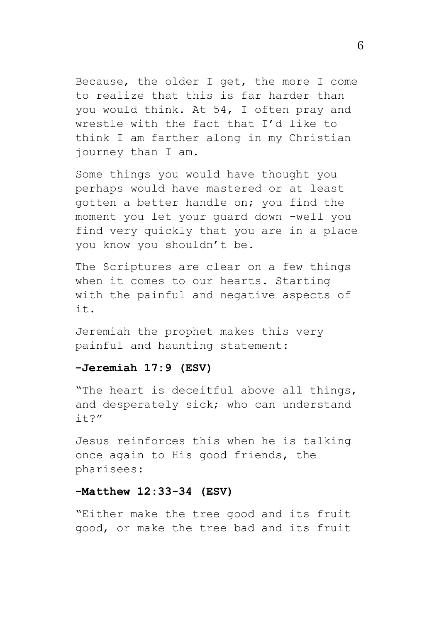Because, the older I get, the more I come to realize that this is far harder than you would think. At 54, I often pray and wrestle with the fact that I'd like to think I am farther along in my Christian journey than I am.

Some things you would have thought you perhaps would have mastered or at least gotten a better handle on; you find the moment you let your guard down -well you find very quickly that you are in a place you know you shouldn't be.

The Scriptures are clear on a few things when it comes to our hearts. Starting with the painful and negative aspects of it.

Jeremiah the prophet makes this very painful and haunting statement:

#### **-Jeremiah 17:9 (ESV)**

"The heart is deceitful above all things, and desperately sick; who can understand it?"

Jesus reinforces this when he is talking once again to His good friends, the pharisees:

### **-Matthew 12:33-34 (ESV)**

"Either make the tree good and its fruit good, or make the tree bad and its fruit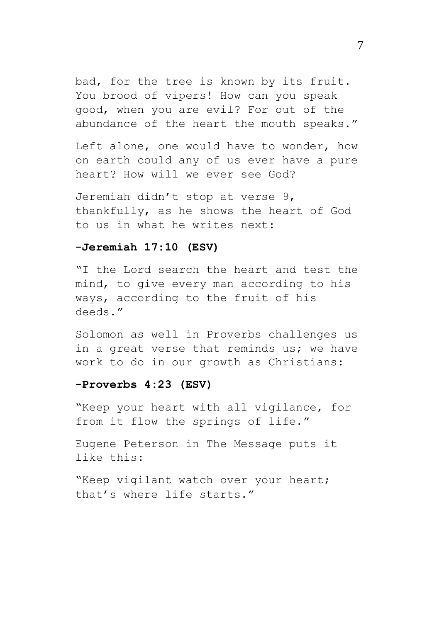bad, for the tree is known by its fruit. You brood of vipers! How can you speak good, when you are evil? For out of the abundance of the heart the mouth speaks."

Left alone, one would have to wonder, how on earth could any of us ever have a pure heart? How will we ever see God?

Jeremiah didn't stop at verse 9, thankfully, as he shows the heart of God to us in what he writes next:

#### **-Jeremiah 17:10 (ESV)**

"I the Lord search the heart and test the mind, to give every man according to his ways, according to the fruit of his deeds."

Solomon as well in Proverbs challenges us in a great verse that reminds us; we have work to do in our growth as Christians:

#### **-Proverbs 4:23 (ESV)**

"Keep your heart with all vigilance, for from it flow the springs of life."

Eugene Peterson in The Message puts it like this:

"Keep vigilant watch over your heart; that's where life starts."

7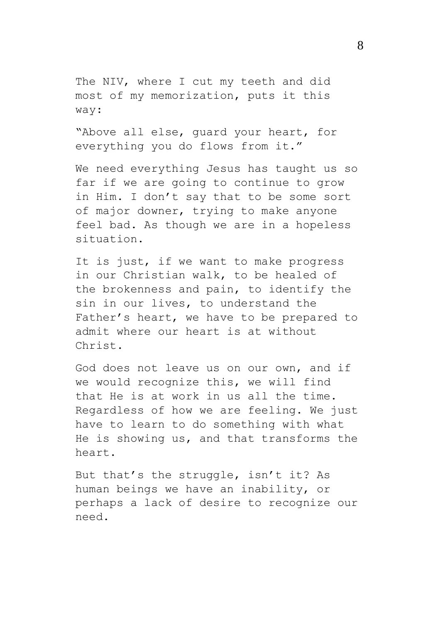The NIV, where I cut my teeth and did most of my memorization, puts it this way:

"Above all else, guard your heart, for everything you do flows from it."

We need everything Jesus has taught us so far if we are going to continue to grow in Him. I don't say that to be some sort of major downer, trying to make anyone feel bad. As though we are in a hopeless situation.

It is just, if we want to make progress in our Christian walk, to be healed of the brokenness and pain, to identify the sin in our lives, to understand the Father's heart, we have to be prepared to admit where our heart is at without Christ.

God does not leave us on our own, and if we would recognize this, we will find that He is at work in us all the time. Regardless of how we are feeling. We just have to learn to do something with what He is showing us, and that transforms the heart.

But that's the struggle, isn't it? As human beings we have an inability, or perhaps a lack of desire to recognize our need.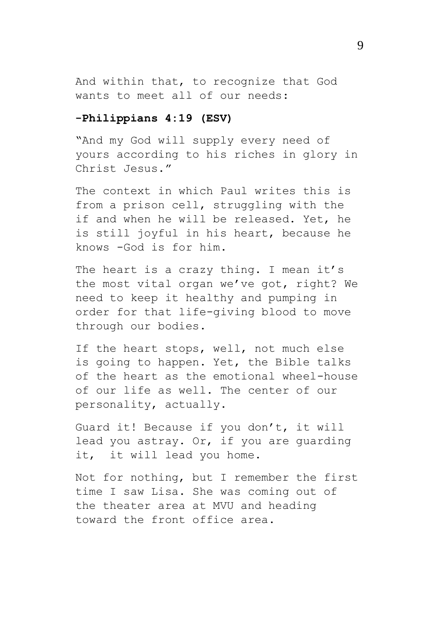And within that, to recognize that God wants to meet all of our needs:

#### **-Philippians 4:19 (ESV)**

"And my God will supply every need of yours according to his riches in glory in Christ Jesus."

The context in which Paul writes this is from a prison cell, struggling with the if and when he will be released. Yet, he is still joyful in his heart, because he knows -God is for him.

The heart is a crazy thing. I mean it's the most vital organ we've got, right? We need to keep it healthy and pumping in order for that life-giving blood to move through our bodies.

If the heart stops, well, not much else is going to happen. Yet, the Bible talks of the heart as the emotional wheel-house of our life as well. The center of our personality, actually.

Guard it! Because if you don't, it will lead you astray. Or, if you are guarding it, it will lead you home.

Not for nothing, but I remember the first time I saw Lisa. She was coming out of the theater area at MVU and heading toward the front office area.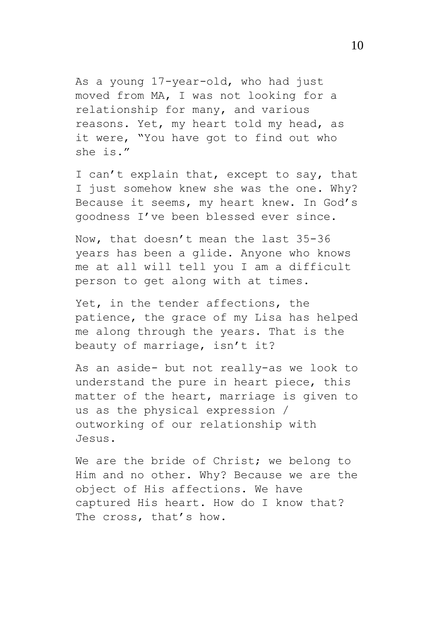As a young 17-year-old, who had just moved from MA, I was not looking for a relationship for many, and various reasons. Yet, my heart told my head, as it were, "You have got to find out who she is."

I can't explain that, except to say, that I just somehow knew she was the one. Why? Because it seems, my heart knew. In God's goodness I've been blessed ever since.

Now, that doesn't mean the last 35-36 years has been a glide. Anyone who knows me at all will tell you I am a difficult person to get along with at times.

Yet, in the tender affections, the patience, the grace of my Lisa has helped me along through the years. That is the beauty of marriage, isn't it?

As an aside- but not really-as we look to understand the pure in heart piece, this matter of the heart, marriage is given to us as the physical expression / outworking of our relationship with Jesus.

We are the bride of Christ; we belong to Him and no other. Why? Because we are the object of His affections. We have captured His heart. How do I know that? The cross, that's how.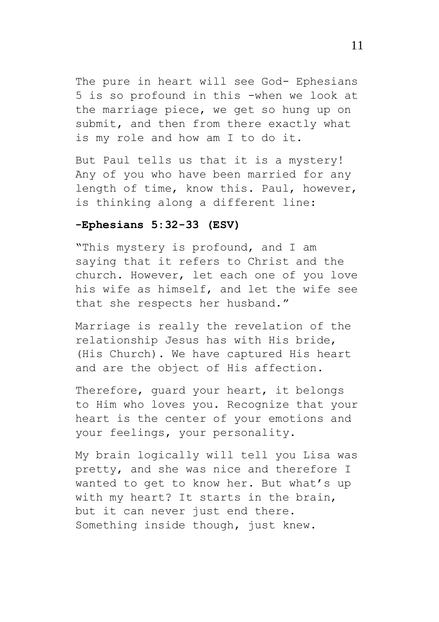The pure in heart will see God- Ephesians 5 is so profound in this -when we look at the marriage piece, we get so hung up on submit, and then from there exactly what is my role and how am I to do it.

But Paul tells us that it is a mystery! Any of you who have been married for any length of time, know this. Paul, however, is thinking along a different line:

#### **-Ephesians 5:32-33 (ESV)**

"This mystery is profound, and I am saying that it refers to Christ and the church. However, let each one of you love his wife as himself, and let the wife see that she respects her husband."

Marriage is really the revelation of the relationship Jesus has with His bride, (His Church). We have captured His heart and are the object of His affection.

Therefore, guard your heart, it belongs to Him who loves you. Recognize that your heart is the center of your emotions and your feelings, your personality.

My brain logically will tell you Lisa was pretty, and she was nice and therefore I wanted to get to know her. But what's up with my heart? It starts in the brain, but it can never just end there. Something inside though, just knew.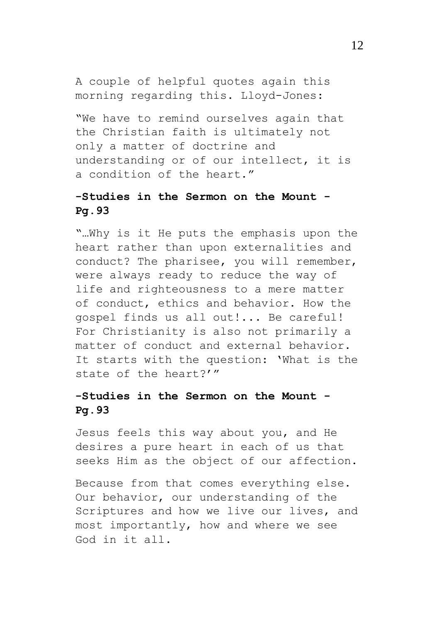A couple of helpful quotes again this morning regarding this. Lloyd-Jones:

"We have to remind ourselves again that the Christian faith is ultimately not only a matter of doctrine and understanding or of our intellect, it is a condition of the heart."

# **-Studies in the Sermon on the Mount - Pg.93**

"…Why is it He puts the emphasis upon the heart rather than upon externalities and conduct? The pharisee, you will remember, were always ready to reduce the way of life and righteousness to a mere matter of conduct, ethics and behavior. How the gospel finds us all out!... Be careful! For Christianity is also not primarily a matter of conduct and external behavior. It starts with the question: 'What is the state of the heart?'"

# **-Studies in the Sermon on the Mount - Pg.93**

Jesus feels this way about you, and He desires a pure heart in each of us that seeks Him as the object of our affection.

Because from that comes everything else. Our behavior, our understanding of the Scriptures and how we live our lives, and most importantly, how and where we see God in it all.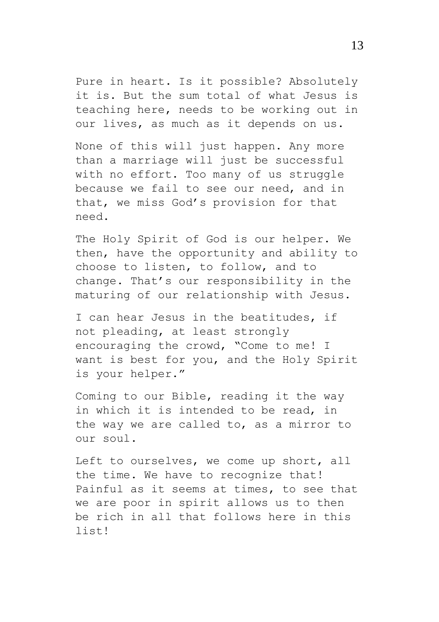Pure in heart. Is it possible? Absolutely it is. But the sum total of what Jesus is teaching here, needs to be working out in our lives, as much as it depends on us.

None of this will just happen. Any more than a marriage will just be successful with no effort. Too many of us struggle because we fail to see our need, and in that, we miss God's provision for that need.

The Holy Spirit of God is our helper. We then, have the opportunity and ability to choose to listen, to follow, and to change. That's our responsibility in the maturing of our relationship with Jesus.

I can hear Jesus in the beatitudes, if not pleading, at least strongly encouraging the crowd, "Come to me! I want is best for you, and the Holy Spirit is your helper."

Coming to our Bible, reading it the way in which it is intended to be read, in the way we are called to, as a mirror to our soul.

Left to ourselves, we come up short, all the time. We have to recognize that! Painful as it seems at times, to see that we are poor in spirit allows us to then be rich in all that follows here in this list!